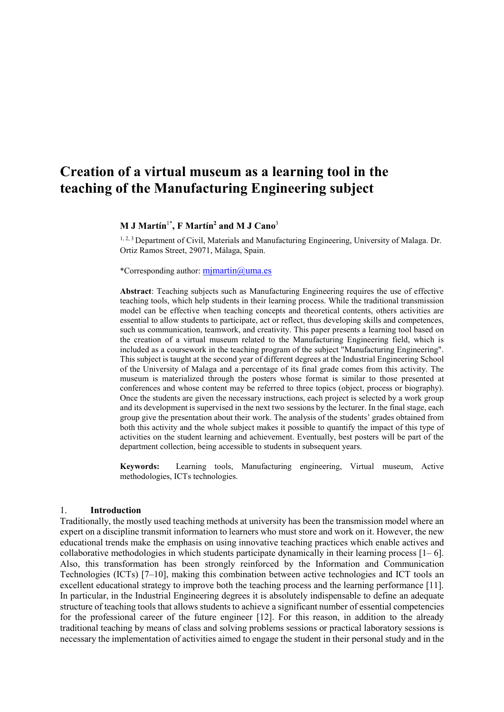# **Creation of a virtual museum as a learning tool in the teaching of the Manufacturing Engineering subject**

#### **M J Martín**1\***, F Martín2 and M J Cano**<sup>3</sup>

<sup>1, 2, 3</sup> Department of Civil, Materials and Manufacturing Engineering, University of Malaga. Dr. Ortiz Ramos Street, 29071, Málaga, Spain.

\*Corresponding author[: mjmartin@u](about:blank)ma.es

**Abstract**: Teaching subjects such as Manufacturing Engineering requires the use of effective teaching tools, which help students in their learning process. While the traditional transmission model can be effective when teaching concepts and theoretical contents, others activities are essential to allow students to participate, act or reflect, thus developing skills and competences, such us communication, teamwork, and creativity. This paper presents a learning tool based on the creation of a virtual museum related to the Manufacturing Engineering field, which is included as a coursework in the teaching program of the subject "Manufacturing Engineering". This subject is taught at the second year of different degrees at the Industrial Engineering School of the University of Malaga and a percentage of its final grade comes from this activity. The museum is materialized through the posters whose format is similar to those presented at conferences and whose content may be referred to three topics (object, process or biography). Once the students are given the necessary instructions, each project is selected by a work group and its development is supervised in the next two sessions by the lecturer. In the final stage, each group give the presentation about their work. The analysis of the students' grades obtained from both this activity and the whole subject makes it possible to quantify the impact of this type of activities on the student learning and achievement. Eventually, best posters will be part of the department collection, being accessible to students in subsequent years.

**Keywords:** Learning tools, Manufacturing engineering, Virtual museum, Active methodologies, ICTs technologies.

#### 1. **Introduction**

Traditionally, the mostly used teaching methods at university has been the transmission model where an expert on a discipline transmit information to learners who must store and work on it. However, the new educational trends make the emphasis on using innovative teaching practices which enable actives and collaborative methodologies in which students participate dynamically in their learning process  $[1-6]$ . Also, this transformation has been strongly reinforced by the Information and Communication Technologies (ICTs) [7–10], making this combination between active technologies and ICT tools an excellent educational strategy to improve both the teaching process and the learning performance [11]. In particular, in the Industrial Engineering degrees it is absolutely indispensable to define an adequate structure of teaching tools that allows students to achieve a significant number of essential competencies for the professional career of the future engineer [12]. For this reason, in addition to the already traditional teaching by means of class and solving problems sessions or practical laboratory sessions is necessary the implementation of activities aimed to engage the student in their personal study and in the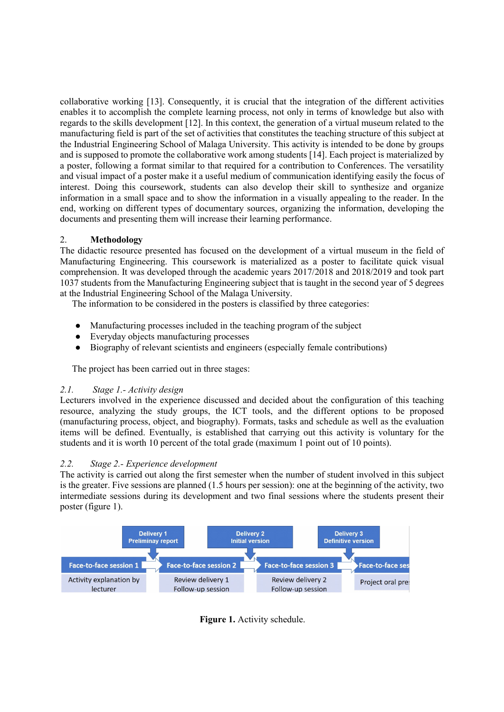collaborative working [13]. Consequently, it is crucial that the integration of the different activities enables it to accomplish the complete learning process, not only in terms of knowledge but also with regards to the skills development [12]. In this context, the generation of a virtual museum related to the manufacturing field is part of the set of activities that constitutes the teaching structure of this subject at the Industrial Engineering School of Malaga University. This activity is intended to be done by groups and is supposed to promote the collaborative work among students [14]. Each project is materialized by a poster, following a format similar to that required for a contribution to Conferences. The versatility and visual impact of a poster make it a useful medium of communication identifying easily the focus of interest. Doing this coursework, students can also develop their skill to synthesize and organize information in a small space and to show the information in a visually appealing to the reader. In the end, working on different types of documentary sources, organizing the information, developing the documents and presenting them will increase their learning performance.

# 2. **Methodology**

The didactic resource presented has focused on the development of a virtual museum in the field of Manufacturing Engineering. This coursework is materialized as a poster to facilitate quick visual comprehension. It was developed through the academic years 2017/2018 and 2018/2019 and took part 1037 students from the Manufacturing Engineering subject that is taught in the second year of 5 degrees at the Industrial Engineering School of the Malaga University.

The information to be considered in the posters is classified by three categories:

- Manufacturing processes included in the teaching program of the subject
- Everyday objects manufacturing processes
- Biography of relevant scientists and engineers (especially female contributions)

The project has been carried out in three stages:

# *2.1. Stage 1.- Activity design*

Lecturers involved in the experience discussed and decided about the configuration of this teaching resource, analyzing the study groups, the ICT tools, and the different options to be proposed (manufacturing process, object, and biography). Formats, tasks and schedule as well as the evaluation items will be defined. Eventually, is established that carrying out this activity is voluntary for the students and it is worth 10 percent of the total grade (maximum 1 point out of 10 points).

# *2.2. Stage 2.- Experience development*

The activity is carried out along the first semester when the number of student involved in this subject is the greater. Five sessions are planned (1.5 hours per session): one at the beginning of the activity, two intermediate sessions during its development and two final sessions where the students present their poster (figure 1).



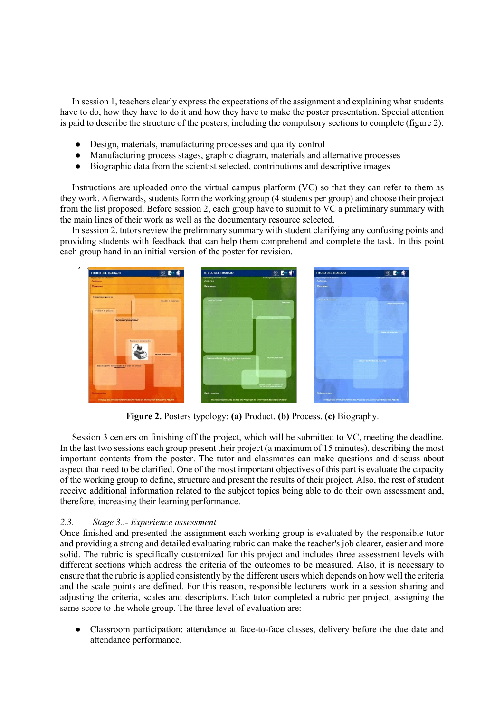In session 1, teachers clearly express the expectations of the assignment and explaining what students have to do, how they have to do it and how they have to make the poster presentation. Special attention is paid to describe the structure of the posters, including the compulsory sections to complete (figure 2):

- Design, materials, manufacturing processes and quality control
- Manufacturing process stages, graphic diagram, materials and alternative processes
- Biographic data from the scientist selected, contributions and descriptive images

Instructions are uploaded onto the virtual campus platform (VC) so that they can refer to them as they work. Afterwards, students form the working group (4 students per group) and choose their project from the list proposed. Before session 2, each group have to submit to VC a preliminary summary with the main lines of their work as well as the documentary resource selected.

In session 2, tutors review the preliminary summary with student clarifying any confusing points and providing students with feedback that can help them comprehend and complete the task. In this point each group hand in an initial version of the poster for revision.



**Figure 2.** Posters typology: **(a)** Product. **(b)** Process. **(c)** Biography.

Session 3 centers on finishing off the project, which will be submitted to VC, meeting the deadline. In the last two sessions each group present their project (a maximum of 15 minutes), describing the most important contents from the poster. The tutor and classmates can make questions and discuss about aspect that need to be clarified. One of the most important objectives of this part is evaluate the capacity of the working group to define, structure and present the results of their project. Also, the rest of student receive additional information related to the subject topics being able to do their own assessment and, therefore, increasing their learning performance.

## *2.3. Stage 3..- Experience assessment*

Once finished and presented the assignment each working group is evaluated by the responsible tutor and providing a strong and detailed evaluating rubric can make the teacher's job clearer, easier and more solid. The rubric is specifically customized for this project and includes three assessment levels with different sections which address the criteria of the outcomes to be measured. Also, it is necessary to ensure that the rubric is applied consistently by the different users which depends on how well the criteria and the scale points are defined. For this reason, responsible lecturers work in a session sharing and adjusting the criteria, scales and descriptors. Each tutor completed a rubric per project, assigning the same score to the whole group. The three level of evaluation are:

Classroom participation: attendance at face-to-face classes, delivery before the due date and attendance performance.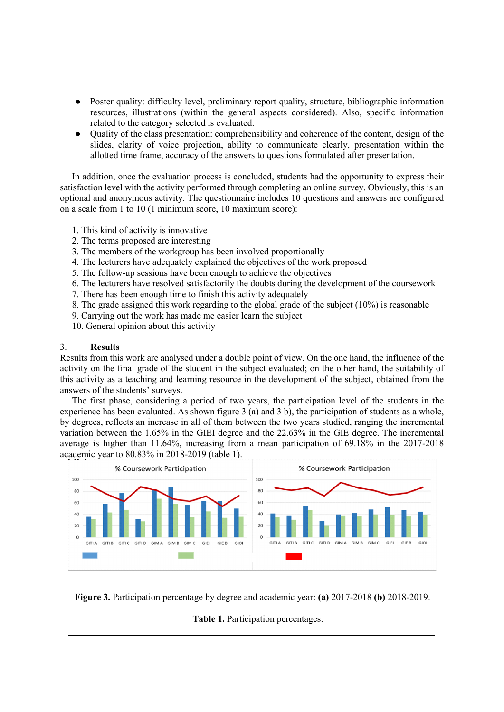- Poster quality: difficulty level, preliminary report quality, structure, bibliographic information resources, illustrations (within the general aspects considered). Also, specific information related to the category selected is evaluated.
- Quality of the class presentation: comprehensibility and coherence of the content, design of the slides, clarity of voice projection, ability to communicate clearly, presentation within the allotted time frame, accuracy of the answers to questions formulated after presentation.

In addition, once the evaluation process is concluded, students had the opportunity to express their satisfaction level with the activity performed through completing an online survey. Obviously, this is an optional and anonymous activity. The questionnaire includes 10 questions and answers are configured on a scale from 1 to 10 (1 minimum score, 10 maximum score):

- 1. This kind of activity is innovative
- 2. The terms proposed are interesting
- 3. The members of the workgroup has been involved proportionally
- 4. The lecturers have adequately explained the objectives of the work proposed
- 5. The follow-up sessions have been enough to achieve the objectives
- 6. The lecturers have resolved satisfactorily the doubts during the development of the coursework
- 7. There has been enough time to finish this activity adequately
- 8. The grade assigned this work regarding to the global grade of the subject (10%) is reasonable
- 9. Carrying out the work has made me easier learn the subject
- 10. General opinion about this activity

#### 3. **Results**

Results from this work are analysed under a double point of view. On the one hand, the influence of the activity on the final grade of the student in the subject evaluated; on the other hand, the suitability of this activity as a teaching and learning resource in the development of the subject, obtained from the answers of the students' surveys.

The first phase, considering a period of two years, the participation level of the students in the experience has been evaluated. As shown figure 3 (a) and 3 b), the participation of students as a whole, by degrees, reflects an increase in all of them between the two years studied, ranging the incremental variation between the 1.65% in the GIEI degree and the 22.63% in the GIE degree. The incremental average is higher than 11.64%, increasing from a mean participation of 69.18% in the 2017-2018 academic year to 80.83% in 2018-2019 (table 1).



**Figure 3.** Participation percentage by degree and academic year: **(a)** 2017-2018 **(b)** 2018-2019.

#### **Table 1.** Participation percentages.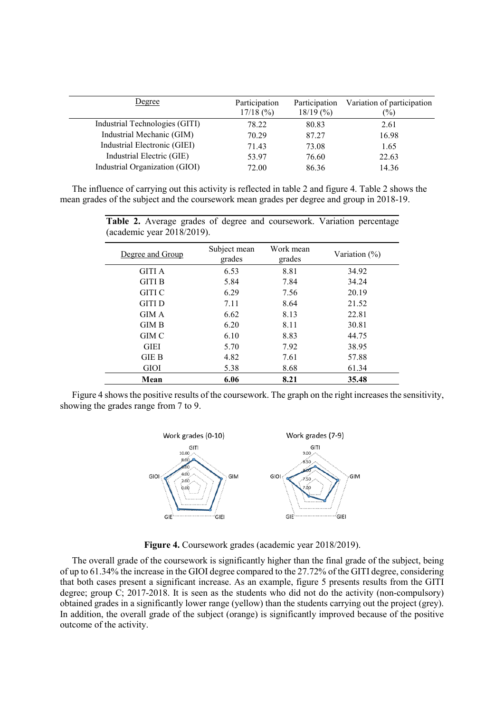| Degree                         | Participation<br>$17/18$ (%) | Participation<br>18/19(%) | Variation of participation<br>$\frac{1}{2}$ |
|--------------------------------|------------------------------|---------------------------|---------------------------------------------|
| Industrial Technologies (GITI) | 78.22                        | 80.83                     | 2.61                                        |
| Industrial Mechanic (GIM)      | 70.29                        | 87.27                     | 16.98                                       |
| Industrial Electronic (GIEI)   | 71.43                        | 73.08                     | 1.65                                        |
| Industrial Electric (GIE)      | 53.97                        | 76.60                     | 22.63                                       |
| Industrial Organization (GIOI) | 72.00                        | 86.36                     | 14.36                                       |
|                                |                              |                           |                                             |

The influence of carrying out this activity is reflected in table 2 and figure 4. Table 2 shows the mean grades of the subject and the coursework mean grades per degree and group in 2018-19.

(academic year 2018/2019). Degree and Group Subject mean grades Work mean ork ineall Variation (%)<br>grades GITI A 6.53 8.81 34.92 GITI B 5.84 7.84 34.24 GITI C 6.29 7.56 20.19 GITI D 7.11 8.64 21.52 GIM A 6.62 8.13 22.81 GIM B 6.20 8.11 30.81 GIM C 6.10 8.83 44.75 GIEI 5.70 7.92 38.95 GIE B 4.82 7.61 57.88 GIOI 5.38 8.68 61.34 **Mean 6.06 8.21 35.48**

**Table 2.** Average grades of degree and coursework. Variation percentage

Figure 4 shows the positive results of the coursework. The graph on the right increases the sensitivity, showing the grades range from 7 to 9.



**Figure 4.** Coursework grades (academic year 2018/2019).

The overall grade of the coursework is significantly higher than the final grade of the subject, being of up to 61.34% the increase in the GIOI degree compared to the 27.72% of the GITI degree, considering that both cases present a significant increase. As an example, figure 5 presents results from the GITI degree; group C; 2017-2018. It is seen as the students who did not do the activity (non-compulsory) obtained grades in a significantly lower range (yellow) than the students carrying out the project (grey). In addition, the overall grade of the subject (orange) is significantly improved because of the positive outcome of the activity.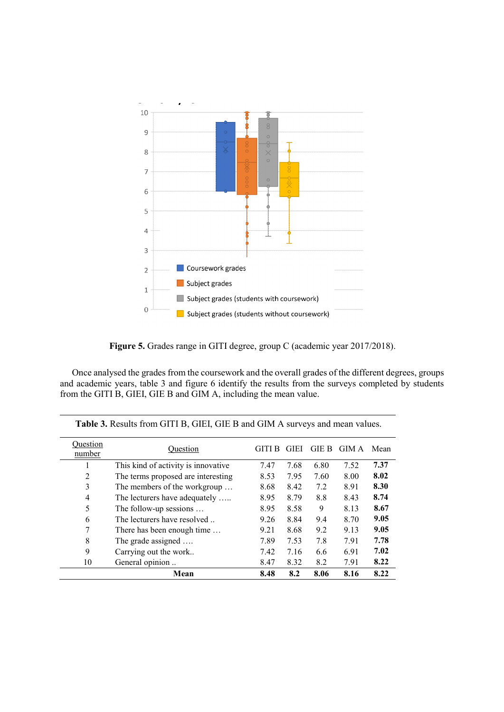

**Figure 5.** Grades range in GITI degree, group C (academic year 2017/2018).

Once analysed the grades from the coursework and the overall grades of the different degrees, groups and academic years, table 3 and figure 6 identify the results from the surveys completed by students from the GITI B, GIEI, GIE B and GIM A, including the mean value.

| Ouestion<br>number | Ouestion                            | GITI B | <b>GIEI</b> | <b>GIE B</b> | GIM A | Mean |
|--------------------|-------------------------------------|--------|-------------|--------------|-------|------|
|                    | This kind of activity is innovative | 7.47   | 7.68        | 6.80         | 7.52  | 7.37 |
| $\overline{2}$     | The terms proposed are interesting  | 8.53   | 7.95        | 7.60         | 8.00  | 8.02 |
| 3                  | The members of the workgroup        | 8.68   | 8.42        | 7.2          | 8.91  | 8.30 |
| $\overline{4}$     | The lecturers have adequately       | 8.95   | 8.79        | 8.8          | 8.43  | 8.74 |
| 5                  | The follow-up sessions              | 8.95   | 8.58        | 9            | 8.13  | 8.67 |
| 6                  | The lecturers have resolved         | 9.26   | 8.84        | 9.4          | 8.70  | 9.05 |
| 7                  | There has been enough time          | 9.21   | 8.68        | 9.2          | 9.13  | 9.05 |
| 8                  | The grade assigned                  | 7.89   | 7.53        | 7.8          | 7.91  | 7.78 |
| 9                  | Carrying out the work               | 7.42   | 7.16        | 6.6          | 6.91  | 7.02 |
| 10                 | General opinion                     | 8.47   | 8.32        | 8.2          | 7.91  | 8.22 |
|                    | Mean                                | 8.48   | 8.2         | 8.06         | 8.16  | 8.22 |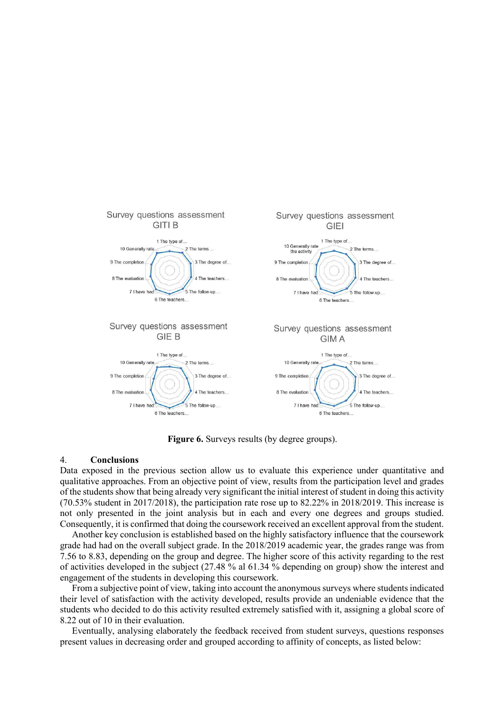

**Figure 6.** Surveys results (by degree groups).

#### 4. **Conclusions**

Data exposed in the previous section allow us to evaluate this experience under quantitative and qualitative approaches. From an objective point of view, results from the participation level and grades of the students show that being already very significant the initial interest of student in doing this activity (70.53% student in 2017/2018), the participation rate rose up to 82.22% in 2018/2019. This increase is not only presented in the joint analysis but in each and every one degrees and groups studied. Consequently, it is confirmed that doing the coursework received an excellent approval from the student.

Another key conclusion is established based on the highly satisfactory influence that the coursework grade had had on the overall subject grade. In the 2018/2019 academic year, the grades range was from 7.56 to 8.83, depending on the group and degree. The higher score of this activity regarding to the rest of activities developed in the subject (27.48 % al 61.34 % depending on group) show the interest and engagement of the students in developing this coursework.

From a subjective point of view, taking into account the anonymous surveys where students indicated their level of satisfaction with the activity developed, results provide an undeniable evidence that the students who decided to do this activity resulted extremely satisfied with it, assigning a global score of 8.22 out of 10 in their evaluation.

Eventually, analysing elaborately the feedback received from student surveys, questions responses present values in decreasing order and grouped according to affinity of concepts, as listed below: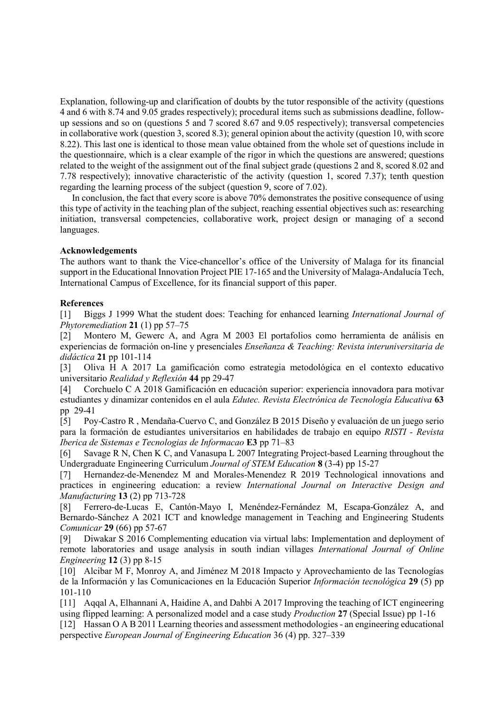Explanation, following-up and clarification of doubts by the tutor responsible of the activity (questions 4 and 6 with 8.74 and 9.05 grades respectively); procedural items such as submissions deadline, followup sessions and so on (questions 5 and 7 scored 8.67 and 9.05 respectively); transversal competencies in collaborative work (question 3, scored 8.3); general opinion about the activity (question 10, with score 8.22). This last one is identical to those mean value obtained from the whole set of questions include in the questionnaire, which is a clear example of the rigor in which the questions are answered; questions related to the weight of the assignment out of the final subject grade (questions 2 and 8, scored 8.02 and 7.78 respectively); innovative characteristic of the activity (question 1, scored 7.37); tenth question regarding the learning process of the subject (question 9, score of 7.02).

In conclusion, the fact that every score is above 70% demonstrates the positive consequence of using this type of activity in the teaching plan of the subject, reaching essential objectives such as: researching initiation, transversal competencies, collaborative work, project design or managing of a second languages.

#### **Acknowledgements**

The authors want to thank the Vice-chancellor's office of the University of Malaga for its financial support in the Educational Innovation Project PIE 17-165 and the University of Malaga-Andalucía Tech, International Campus of Excellence, for its financial support of this paper.

## **References**

[1] Biggs J 1999 What the student does: Teaching for enhanced learning *International Journal of Phytoremediation* **21** (1) pp 57–75

[2] Montero M, Gewerc A, and Agra M 2003 El portafolios como herramienta de análisis en experiencias de formación on-line y presenciales *Enseñanza & Teaching: Revista interuniversitaria de didáctica* **21** pp 101-114

[3] Oliva H A 2017 La gamificación como estrategia metodológica en el contexto educativo universitario *Realidad y Reflexión* **44** pp 29-47

[4] Corchuelo C A 2018 Gamificación en educación superior: experiencia innovadora para motivar estudiantes y dinamizar contenidos en el aula *Edutec. Revista Electrónica de Tecnología Educativa* **63** pp 29-41

[5] Poy-Castro R , Mendaña-Cuervo C, and González B 2015 Diseño y evaluación de un juego serio para la formación de estudiantes universitarios en habilidades de trabajo en equipo *RISTI - Revista Iberica de Sistemas e Tecnologias de Informacao* **E3** pp 71–83

[6] Savage R N, Chen K C, and Vanasupa L 2007 Integrating Project-based Learning throughout the Undergraduate Engineering Curriculum *Journal of STEM Education* **8** (3-4) pp 15-27

[7] Hernandez-de-Menendez M and Morales-Menendez R 2019 Technological innovations and practices in engineering education: a review *International Journal on Interactive Design and Manufacturing* **13** (2) pp 713-728

[8] Ferrero-de-Lucas E, Cantón-Mayo I, Menéndez-Fernández M, Escapa-González A, and Bernardo-Sánchez A 2021 ICT and knowledge management in Teaching and Engineering Students *Comunicar* **29** (66) pp 57-67

[9] Diwakar S 2016 Complementing education via virtual labs: Implementation and deployment of remote laboratories and usage analysis in south indian villages *International Journal of Online Engineering* **12** (3) pp 8-15

[10] Alcibar M F, Monroy A, and Jiménez M 2018 Impacto y Aprovechamiento de las Tecnologías de la Información y las Comunicaciones en la Educación Superior *Información tecnológica* **29** (5) pp 101-110

[11] Aqqal A, Elhannani A, Haidine A, and Dahbi A 2017 Improving the teaching of ICT engineering using flipped learning: A personalized model and a case study *Production* **27** (Special Issue) pp 1-16

[12] Hassan O A B 2011 Learning theories and assessment methodologies- an engineering educational perspective *European Journal of Engineering Education* 36 (4) pp. 327–339